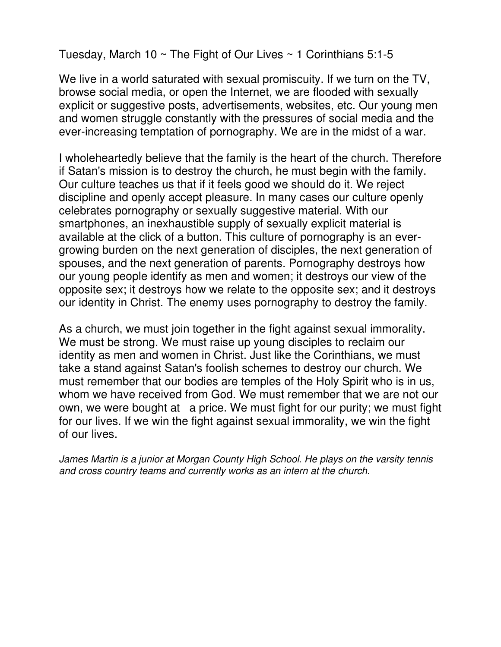Tuesday, March 10  $\sim$  The Fight of Our Lives  $\sim$  1 Corinthians 5:1-5

We live in a world saturated with sexual promiscuity. If we turn on the TV, browse social media, or open the Internet, we are flooded with sexually explicit or suggestive posts, advertisements, websites, etc. Our young men and women struggle constantly with the pressures of social media and the ever-increasing temptation of pornography. We are in the midst of a war.

I wholeheartedly believe that the family is the heart of the church. Therefore if Satan's mission is to destroy the church, he must begin with the family. Our culture teaches us that if it feels good we should do it. We reject discipline and openly accept pleasure. In many cases our culture openly celebrates pornography or sexually suggestive material. With our smartphones, an inexhaustible supply of sexually explicit material is available at the click of a button. This culture of pornography is an evergrowing burden on the next generation of disciples, the next generation of spouses, and the next generation of parents. Pornography destroys how our young people identify as men and women; it destroys our view of the opposite sex; it destroys how we relate to the opposite sex; and it destroys our identity in Christ. The enemy uses pornography to destroy the family.

As a church, we must join together in the fight against sexual immorality. We must be strong. We must raise up young disciples to reclaim our identity as men and women in Christ. Just like the Corinthians, we must take a stand against Satan's foolish schemes to destroy our church. We must remember that our bodies are temples of the Holy Spirit who is in us, whom we have received from God. We must remember that we are not our own, we were bought at a price. We must fight for our purity; we must fight for our lives. If we win the fight against sexual immorality, we win the fight of our lives.

James Martin is a junior at Morgan County High School. He plays on the varsity tennis and cross country teams and currently works as an intern at the church.